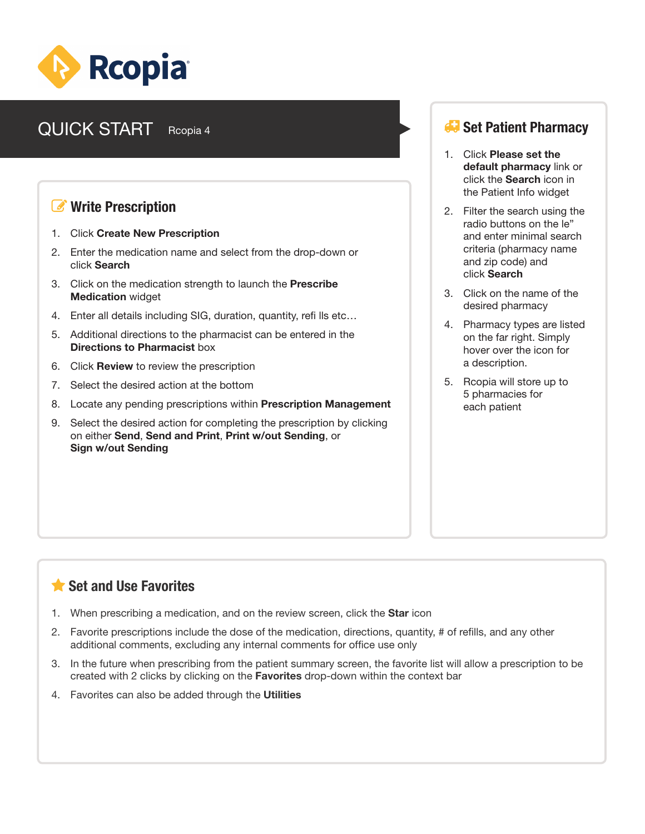

#### **QUICK START** Reopia 4 **Set Patient Pharmacy** Rcopia 4

### *<b><i>C* Write Prescription

- 1. Click **Create New Prescription**
- 2. Enter the medication name and select from the drop-down or click **Search**
- 3. Click on the medication strength to launch the **Prescribe Medication** widget
- 4. Enter all details including SIG, duration, quantity, refi lls etc…
- 5. Additional directions to the pharmacist can be entered in the **Directions to Pharmacist** box
- 6. Click **Review** to review the prescription
- 7. Select the desired action at the bottom
- 8. Locate any pending prescriptions within **Prescription Management**
- 9. Select the desired action for completing the prescription by clicking on either **Send**, **Send and Print**, **Print w/out Sending**, or **Sign w/out Sending**

- 1. Click **Please set the default pharmacy** link or click the **Search** icon in the Patient Info widget
- 2. Filter the search using the radio buttons on the le" and enter minimal search criteria (pharmacy name and zip code) and click **Search**
- 3. Click on the name of the desired pharmacy
- 4. Pharmacy types are listed on the far right. Simply hover over the icon for a description.
- 5. Rcopia will store up to 5 pharmacies for each patient

# **Set and Use Favorites**

- 1. When prescribing a medication, and on the review screen, click the **Star** icon
- 2. Favorite prescriptions include the dose of the medication, directions, quantity, # of refills, and any other additional comments, excluding any internal comments for office use only
- 3. In the future when prescribing from the patient summary screen, the favorite list will allow a prescription to be created with 2 clicks by clicking on the **Favorites** drop-down within the context bar
- 4. Favorites can also be added through the **Utilities**